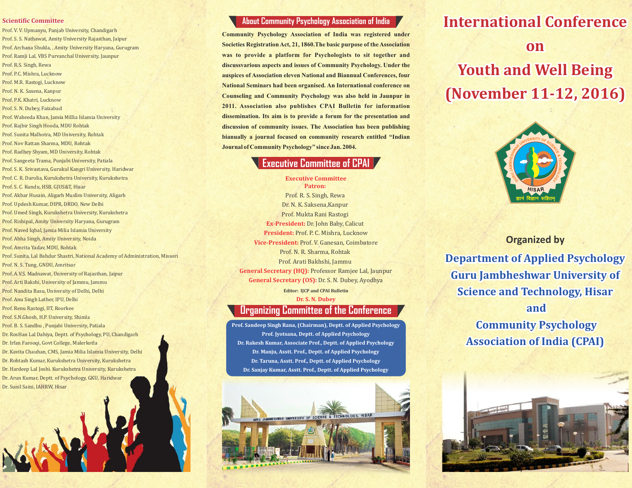#### **Scientific Committee**

Dr. Sunil Saini, IAHRW, Hisar

Prof. V. V. Upmanyu, Panjab University, Chandigarh Prof. S. S. Nathawat, Amity University Rajasthan, Jaipur Prof. Archana Shukla, , Amity University Haryana, Gurugram Prof. Ramji Lal, VBS Purvanchal University, Jaunpur Prof. R.S. Singh, Rewa Prof. P.C. Mishra, Lucknow Prof. M.R. Rastogi, Lucknow Prof. N. K. Saxena, Kanpur Prof. P.K. Khatri, Lucknow Prof. S. N. Dubey, Faizabad Prof. Waheeda Khan, Jamia Millia Islamia University Prof. Rajbir Singh Hooda, MDU Rohtak Prof. Sunita Malhotra, MD University, Rohtak Prof. Nov Rattan Sharma, MDU, Rohtak Prof. Radhey Shyam, MD University, Rohtak Prof. Sangeeta Trama, Punjabi University, Patiala Prof. S. K. Srivastava, Gurukul Kangri University, Haridwar Prof. C. R. Darolia, Kurukshetra University, Kurukshetra Prof. S. C. Kundu, HSB, GJUS&T, Hisar Prof. Akbar Husain, Aligarh Muslim University, Aligarh Prof. Updesh Kumar, DIPR, DRDO, New Delhi Prof. Umed Singh, Kurukshetra University, Kurukshetra Prof. Rishipal, Amity University Haryana, Gurugram Prof. Naved Iqbal, Jamia Milia Islamia University Prof. Abha Singh, Amity University, Noida Prof. Amrita Yadav, MDU, Rohtak Prof. Sunita, Lal Bahdur Shastri, National Academy of Administration, Missori Prof. N. S. Tung, GNDU, Amritsar Prof. A.V.S. Madnawat, University of Rajasthan, Jaipur Prof. Arti Bakshi, University of Jammu, Jammu Prof. Nandita Basu, University of Delhi, Delhi Prof. Anu Singh Lather, IPU, Delhi Prof. Renu Rastogi, IIT, Roorkee Prof. S.N.Ghosh, H.P. University, Shimla Prof. B. S. Sandhu , Punjabi University, Patiala Dr. RosHan Lal Dahiya, Deptt. of Psychology, PU, Chandigarh Dr. Irfan Farooqi, Govt College, Malerkotla Dr. Kavita Chauhan, CMS, Jamia Milia Islamia University, Delhi Dr. Rohtash Kumar, Kurukshetra University, Kurukshetra Dr. Hardeep Lal Joshi. Kurukshetra University, Kurukshetra Dr. Arun Kumar, Deptt. of Psychology, GKU, Haridwar

## **About Community Psychology Association of India**

**Community Psychology Association of India was registered under Societies Registration Act, 21, 1860.The basic purpose of the Association was to provide a platform for Psychologists to sit together and discussvarious aspects and issues of Community Psychology. Under the auspices of Association eleven National and Biannual Conferences, four National Seminars had been organised. An International conference on Counseling and Community Psychology was also held in Jaunpur in 2011. Association also publishes CPAI Bulletin for information dissemination. Its aim is to provide a forum for the presentation and discussion of community issues. The Association has been publishing bianually a journal focused on community research entitled "Indian Journal of Community Psychology" since Jan. 2004.**

## **Executive Committee of CPAI**

**Executive Committee Patron:** Prof. R. S. Singh, Rewa Dr. N. K. Saksena,Kanpur Prof. Mukta Rani Rastogi **Ex-President:** Dr. John Baby, Calicut **President:** Prof. P. C. Mishra, Lucknow **Vice-President:** Prof. V. Ganesan, Coimbatore Prof. N. R. Sharma, Rohtak Prof. Arati Bakhshi, Jammu **General Secretary (HQ):** Professor Ramjee Lal, Jaunpur **General Secretary (OS):** Dr. S. N. Dubey, Ayodhya **Editor: IJCP and CPAI Bulletin Dr. S. N. Dubey**

### **Organizing Committee of the Conference**

**Prof. Sandeep Singh Rana, (Chairman), Deptt. of Applied Psychology Prof. Jyotsana, Deptt. of Applied Psychology Dr. Rakesh Kumar, Associate Prof., Deptt. of Applied Psychology Dr. Manju, Asstt. Prof., Deptt. of Applied Psychology Dr. Taruna, Asstt. Prof., Deptt. of Applied Psychology Dr. Sanjay Kumar, Asstt. Prof., Deptt. of Applied Psychology**



# **International Conference**

# **on Youth and Well Being (November 11-12, 2016)**



**Organized by Department of Applied Psychology Guru Jambheshwar University of Science and Technology, Hisar and Community Psychology Association of India (CPAI)**

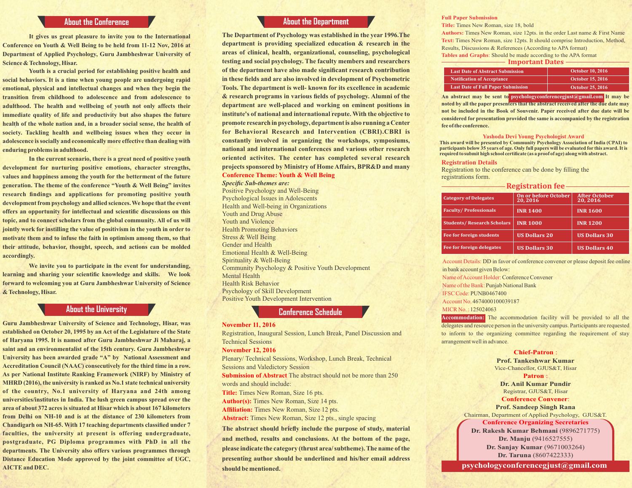**It gives us great pleasure to invite you to the International Conference on Youth & Well Being to be held from 11-12 Nov, 2016 at Department of Applied Psychology, Guru Jambheshwar University of Science & Technology, Hisar.**

**Youth is a crucial period for establishing positive health and social behaviors. It is a time when young people are undergoing rapid emotional, physical and intellectual changes and when they begin the transition from childhood to adolescence and from adolescence to adulthood. The health and wellbeing of youth not only affects their immediate quality of life and productivity but also shapes the future health of the whole nation and, in a broader social sense, the health of society. Tackling health and wellbeing issues when they occur in adolescence is socially and economically more effective than dealing with enduring problems in adulthood.**

**In the current scenario, there is a great need of positive youth development for nurturing positive emotions, character strengths, values and happiness among the youth for the betterment of the future generation. The theme of the conference "Youth & Well Being" invites research findings and applications for promoting positive youth development from psychology and allied sciences. We hope that the event offers an opportunity for intellectual and scientific discussions on this topic, and to connect scholars from the global community. All of us will jointly work for instilling the value of positivism in the youth in order to motivate them and to infuse the faith in optimism among them, so that their attitude, behavior, thought, speech, and actions can be molded accordingly.** 

**We invite you to participate in the event for understanding, learning and sharing your scientific knowledge and skills. We look forward to welcoming you at Guru Jambheshwar University of Science & Technology, Hisar.**

### **About the University**

**Guru Jambheshwar University of Science and Technology, Hisar, was established on October 20, 1995 by an Act of the Legislature of the State of Haryana 1995. It is named after Guru Jambheshwar Ji Maharaj, a saint and an environmentalist of the 15th century. Guru Jambheshwar University has been awarded grade "A" by National Assessment and Accreditation Council (NAAC) consecutively for the third time in a row. As per National Institute Ranking Framework (NIRF) by Ministry of MHRD (2016), the university is ranked as No.1 state technical university of the country, No.1 university of Haryana and 24th among universities/institutes in India. The lush green campus spread over the area of about 372 acres is situated at Hisar which is about 167 kilometers from Delhi on NH-10 and is at the distance of 230 kilometers from Chandigarh on NH-65. With 17 teaching departments classified under 7 faculties, the university at present is offering undergraduate, postgraduate, PG Diploma programmes with PhD in all the departments. The University also offers various programmes through Distance Education Mode approved by the joint committee of UGC, AICTE and DEC.**

#### **About the Department About the Conference Conference About Service Conference About the Department About Service Conference Aposton and Title: Times New Roman**

**The Department of Psychology was established in the year 1996.The department is providing specialized education & research in the areas of clinical, health, organizational, counseling, psychological testing and social psychology. The faculty members and researchers of the department have also made significant research contribution in these fields and are also involved in development of Psychometric Tools. The department is well- known for its excellence in academic & research programs in various fields of psychology. Alumni of the department are well-placed and working on eminent positions in institute's of national and international repute. With the objective to promote research in psychology, department is also running a Center for Behavioral Research and Intervention (CBRI).CBRI is constantly involved in organizing the workshops, symposiums, national and international conferences and various other research oriented activites. The center has completed several research projects sponsored by Ministry of Home Affairs, BPR&D and many Conference Theme: Youth & Well Being**

*Specific Sub-themes are:* Positive Psychology and Well-Being Psychological Issues in Adolescents Health and Well-being in Organizations Youth and Drug Abuse Youth and Violence Health Promoting Behaviors Stress & Well Being Gender and Health Emotional Health & Well-Being Spirituality & Well-Being Community Psychology & Positive Youth Development Mental Health Health Risk Behavior Psychology of Skill Development Positive Youth Development Intervention

### **Conference Schedule**

#### **November 11, 2016**

Registration, Inaugural Session, Lunch Break, Panel Discussion and Technical Sessions

#### **November 12, 2016**

Plenary/ Technical Sessions, Workshop, Lunch Break, Technical Sessions and Valedictory Session **Submission of Abstract** The abstract should not be more than 250 words and should include: **Title:** Times New Roman, Size 16 pts. **Author(s):** Times New Roman, Size 14 pts.

**Affiliation:** Times New Roman, Size 12 pts.

**Abstract:** Times New Roman, Size 12 pts., single spacing

**The abstract should briefly include the purpose of study, material and method, results and conclusions. At the bottom of the page, please indicate the category (thrust area/ subtheme). The name of the presenting author should be underlined and his/her email address should be mentioned.** 

**Title:** Times New Roman, size 18, bold

**Authors:** Times New Roman, size 12pts. in the order Last name & First Name **Text:** Times New Roman, size 12pts. It should comprise Introduction, Method, Results, Discussions & References (According to APA format) **Tables and Graphs**: Should be made according to the APA format

 **Important Dates**

| <b>Last Date of Abstract Submission</b>   | <b>October 10, 2016</b> |
|-------------------------------------------|-------------------------|
| <b>Notification of Acceptance</b>         | <b>October 15, 2016</b> |
| <b>Last Date of Full Paper Submission</b> | <b>October 25, 2016</b> |

**An abstract may be sent to psychologyconferencegjust@gmail.com It may be noted by all the paper presenters that the abstract received after the due date may not be included in the Book of Souvenir. Paper received after due date will be considered for presentation provided the same is accompanied by the registration fee of the conference.**

#### **Yashoda Devi Young Psychologist Award**

**This award will be presented by Community Psychology Association of India (CPAI) to participants below 35 years of age. Only full papers will be evaluated for this award. It is required to submit high school certificate (as a proof of age) along with abstract.**

#### **Registration Details**

Registration to the conference can be done by filling the registrations form.

**Registration fee**

| <b>Category of Delegates</b>       | On or before October<br>20,2016 | <b>After October</b><br>20, 2016 |
|------------------------------------|---------------------------------|----------------------------------|
| <b>Faculty/Professionals</b>       | <b>INR 1400</b>                 | <b>INR 1600</b>                  |
| <b>Students/ Research Scholars</b> | <b>INR 1000</b>                 | <b>INR 1200</b>                  |
| <b>Fee for foreign students</b>    | <b>US Dollars 20</b>            | <b>US Dollars 30</b>             |
| Fee for foreign delegates          | <b>US Dollars 30</b>            | <b>US Dollars 40</b>             |

Account Details: DD in favor of conference convener or please deposit fee online in bank account given Below:

Name of Account Holder:Conference Convener Name of the Bank: Punjab National Bank IFSC Code: PUNB0467400 Account No. 4674000100039187 MICR No. : 125024063

**Accommodation:** The accommodation facility will be provided to all the delegates and resource person in the university campus. Participants are requested to inform to the organizing committee regarding the requirement of stay arrangement well in advance.

#### **Chief-Patron** :

**Prof. Tankeshwar Kumar** Vice-Chancellor, GJUS&T, Hisar **Patron** :

**Dr. Anil Kumar Pundir** Registrar, GJUS&T, Hisar

#### **Conference Convener**:

**Prof. Sandeep Singh Rana** Chairman, Department of Applied Psychology, GJUS&T.

#### **Conference Organizing Secretaries**

**Dr. Rakesh Kumar Behmani** (9896271775) **Dr. Manju** (9416527555) **Dr. Sanjay Kumar** (9671003264) **Dr. Taruna** (8607422333)

**psychologyconferencegjust@gmail.com**